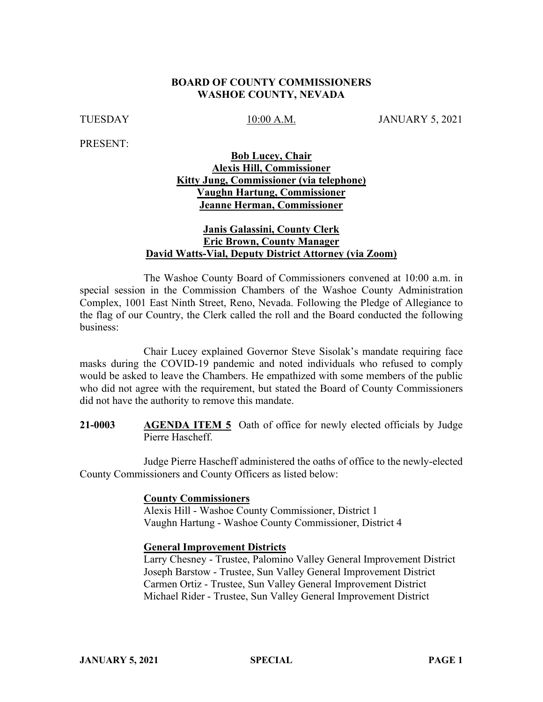### **BOARD OF COUNTY COMMISSIONERS WASHOE COUNTY, NEVADA**

TUESDAY 10:00 A.M. JANUARY 5, 2021

PRESENT:

# **Bob Lucey, Chair Alexis Hill, Commissioner Kitty Jung, Commissioner (via telephone) Vaughn Hartung, Commissioner Jeanne Herman, Commissioner**

### **Janis Galassini, County Clerk Eric Brown, County Manager David Watts-Vial, Deputy District Attorney (via Zoom)**

The Washoe County Board of Commissioners convened at 10:00 a.m. in special session in the Commission Chambers of the Washoe County Administration Complex, 1001 East Ninth Street, Reno, Nevada. Following the Pledge of Allegiance to the flag of our Country, the Clerk called the roll and the Board conducted the following business:

Chair Lucey explained Governor Steve Sisolak's mandate requiring face masks during the COVID-19 pandemic and noted individuals who refused to comply would be asked to leave the Chambers. He empathized with some members of the public who did not agree with the requirement, but stated the Board of County Commissioners did not have the authority to remove this mandate.

**21-0003 AGENDA ITEM 5** Oath of office for newly elected officials by Judge Pierre Hascheff.

Judge Pierre Hascheff administered the oaths of office to the newly-elected County Commissioners and County Officers as listed below:

#### **County Commissioners**

Alexis Hill - Washoe County Commissioner, District 1 Vaughn Hartung - Washoe County Commissioner, District 4

### **General Improvement Districts**

Larry Chesney - Trustee, Palomino Valley General Improvement District Joseph Barstow - Trustee, Sun Valley General Improvement District Carmen Ortiz - Trustee, Sun Valley General Improvement District Michael Rider - Trustee, Sun Valley General Improvement District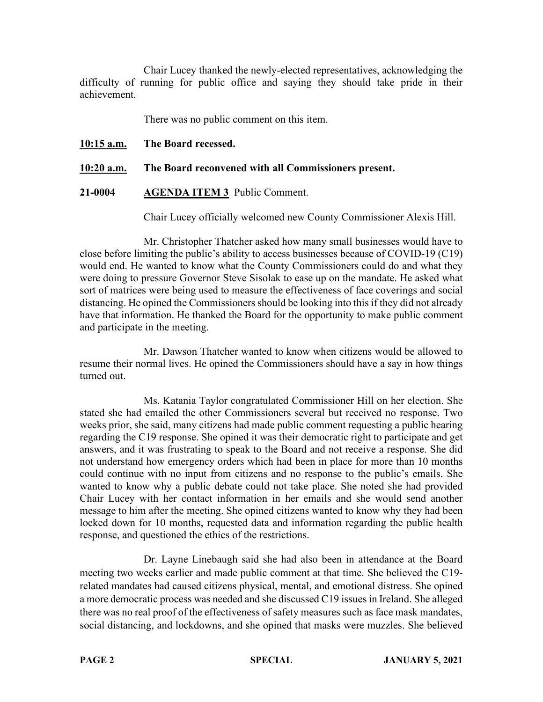Chair Lucey thanked the newly-elected representatives, acknowledging the difficulty of running for public office and saying they should take pride in their achievement.

There was no public comment on this item.

**10:15 a.m. The Board recessed.**

**10:20 a.m. The Board reconvened with all Commissioners present.**

**21-0004 AGENDA ITEM 3** Public Comment.

Chair Lucey officially welcomed new County Commissioner Alexis Hill.

Mr. Christopher Thatcher asked how many small businesses would have to close before limiting the public's ability to access businesses because of COVID-19 (C19) would end. He wanted to know what the County Commissioners could do and what they were doing to pressure Governor Steve Sisolak to ease up on the mandate. He asked what sort of matrices were being used to measure the effectiveness of face coverings and social distancing. He opined the Commissioners should be looking into this if they did not already have that information. He thanked the Board for the opportunity to make public comment and participate in the meeting.

Mr. Dawson Thatcher wanted to know when citizens would be allowed to resume their normal lives. He opined the Commissioners should have a say in how things turned out.

Ms. Katania Taylor congratulated Commissioner Hill on her election. She stated she had emailed the other Commissioners several but received no response. Two weeks prior, she said, many citizens had made public comment requesting a public hearing regarding the C19 response. She opined it was their democratic right to participate and get answers, and it was frustrating to speak to the Board and not receive a response. She did not understand how emergency orders which had been in place for more than 10 months could continue with no input from citizens and no response to the public's emails. She wanted to know why a public debate could not take place. She noted she had provided Chair Lucey with her contact information in her emails and she would send another message to him after the meeting. She opined citizens wanted to know why they had been locked down for 10 months, requested data and information regarding the public health response, and questioned the ethics of the restrictions.

Dr. Layne Linebaugh said she had also been in attendance at the Board meeting two weeks earlier and made public comment at that time. She believed the C19 related mandates had caused citizens physical, mental, and emotional distress. She opined a more democratic process was needed and she discussed C19 issues in Ireland. She alleged there was no real proof of the effectiveness of safety measures such as face mask mandates, social distancing, and lockdowns, and she opined that masks were muzzles. She believed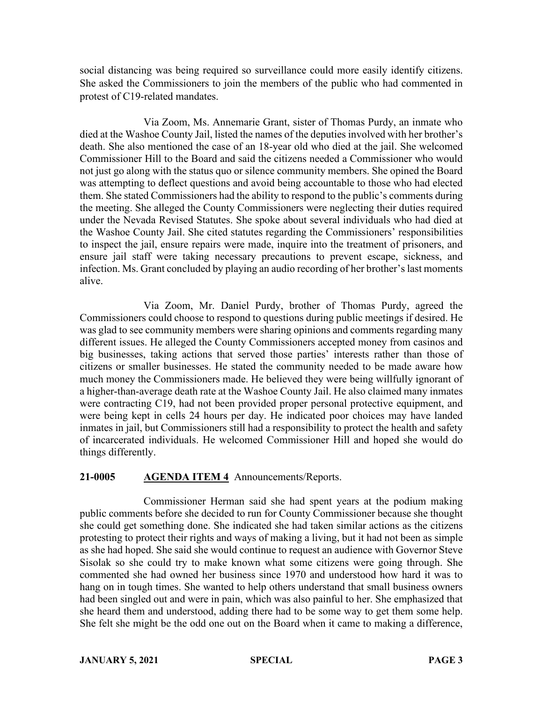social distancing was being required so surveillance could more easily identify citizens. She asked the Commissioners to join the members of the public who had commented in protest of C19-related mandates.

Via Zoom, Ms. Annemarie Grant, sister of Thomas Purdy, an inmate who died at the Washoe County Jail, listed the names of the deputies involved with her brother's death. She also mentioned the case of an 18-year old who died at the jail. She welcomed Commissioner Hill to the Board and said the citizens needed a Commissioner who would not just go along with the status quo or silence community members. She opined the Board was attempting to deflect questions and avoid being accountable to those who had elected them. She stated Commissioners had the ability to respond to the public's comments during the meeting. She alleged the County Commissioners were neglecting their duties required under the Nevada Revised Statutes. She spoke about several individuals who had died at the Washoe County Jail. She cited statutes regarding the Commissioners' responsibilities to inspect the jail, ensure repairs were made, inquire into the treatment of prisoners, and ensure jail staff were taking necessary precautions to prevent escape, sickness, and infection. Ms. Grant concluded by playing an audio recording of her brother's last moments alive.

Via Zoom, Mr. Daniel Purdy, brother of Thomas Purdy, agreed the Commissioners could choose to respond to questions during public meetings if desired. He was glad to see community members were sharing opinions and comments regarding many different issues. He alleged the County Commissioners accepted money from casinos and big businesses, taking actions that served those parties' interests rather than those of citizens or smaller businesses. He stated the community needed to be made aware how much money the Commissioners made. He believed they were being willfully ignorant of a higher-than-average death rate at the Washoe County Jail. He also claimed many inmates were contracting C19, had not been provided proper personal protective equipment, and were being kept in cells 24 hours per day. He indicated poor choices may have landed inmates in jail, but Commissioners still had a responsibility to protect the health and safety of incarcerated individuals. He welcomed Commissioner Hill and hoped she would do things differently.

### **21-0005 AGENDA ITEM 4** Announcements/Reports.

Commissioner Herman said she had spent years at the podium making public comments before she decided to run for County Commissioner because she thought she could get something done. She indicated she had taken similar actions as the citizens protesting to protect their rights and ways of making a living, but it had not been as simple as she had hoped. She said she would continue to request an audience with Governor Steve Sisolak so she could try to make known what some citizens were going through. She commented she had owned her business since 1970 and understood how hard it was to hang on in tough times. She wanted to help others understand that small business owners had been singled out and were in pain, which was also painful to her. She emphasized that she heard them and understood, adding there had to be some way to get them some help. She felt she might be the odd one out on the Board when it came to making a difference,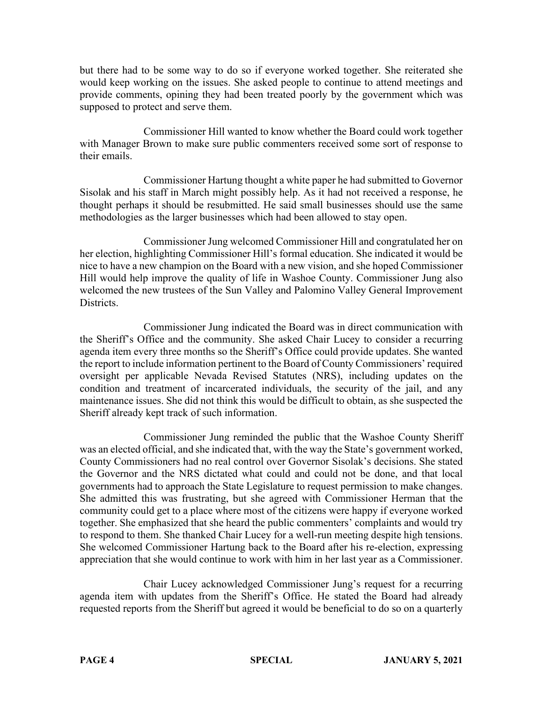but there had to be some way to do so if everyone worked together. She reiterated she would keep working on the issues. She asked people to continue to attend meetings and provide comments, opining they had been treated poorly by the government which was supposed to protect and serve them.

Commissioner Hill wanted to know whether the Board could work together with Manager Brown to make sure public commenters received some sort of response to their emails.

Commissioner Hartung thought a white paper he had submitted to Governor Sisolak and his staff in March might possibly help. As it had not received a response, he thought perhaps it should be resubmitted. He said small businesses should use the same methodologies as the larger businesses which had been allowed to stay open.

Commissioner Jung welcomed Commissioner Hill and congratulated her on her election, highlighting Commissioner Hill's formal education. She indicated it would be nice to have a new champion on the Board with a new vision, and she hoped Commissioner Hill would help improve the quality of life in Washoe County. Commissioner Jung also welcomed the new trustees of the Sun Valley and Palomino Valley General Improvement Districts.

Commissioner Jung indicated the Board was in direct communication with the Sheriff's Office and the community. She asked Chair Lucey to consider a recurring agenda item every three months so the Sheriff's Office could provide updates. She wanted the report to include information pertinent to the Board of County Commissioners' required oversight per applicable Nevada Revised Statutes (NRS), including updates on the condition and treatment of incarcerated individuals, the security of the jail, and any maintenance issues. She did not think this would be difficult to obtain, as she suspected the Sheriff already kept track of such information.

Commissioner Jung reminded the public that the Washoe County Sheriff was an elected official, and she indicated that, with the way the State's government worked, County Commissioners had no real control over Governor Sisolak's decisions. She stated the Governor and the NRS dictated what could and could not be done, and that local governments had to approach the State Legislature to request permission to make changes. She admitted this was frustrating, but she agreed with Commissioner Herman that the community could get to a place where most of the citizens were happy if everyone worked together. She emphasized that she heard the public commenters' complaints and would try to respond to them. She thanked Chair Lucey for a well-run meeting despite high tensions. She welcomed Commissioner Hartung back to the Board after his re-election, expressing appreciation that she would continue to work with him in her last year as a Commissioner.

Chair Lucey acknowledged Commissioner Jung's request for a recurring agenda item with updates from the Sheriff's Office. He stated the Board had already requested reports from the Sheriff but agreed it would be beneficial to do so on a quarterly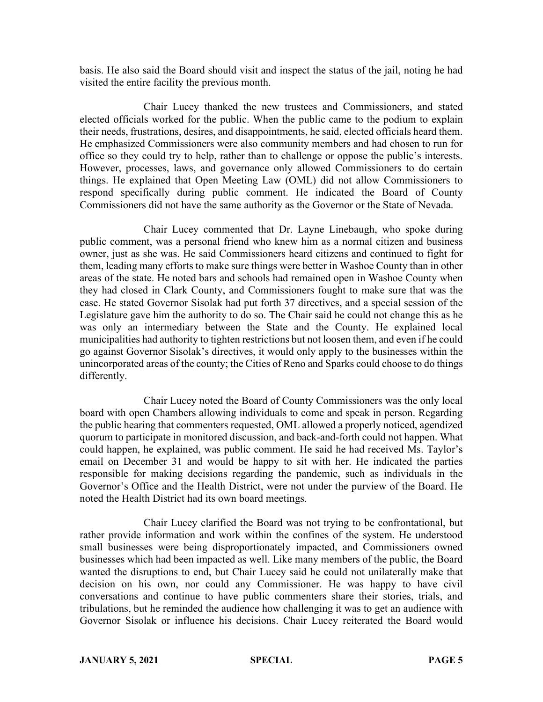basis. He also said the Board should visit and inspect the status of the jail, noting he had visited the entire facility the previous month.

Chair Lucey thanked the new trustees and Commissioners, and stated elected officials worked for the public. When the public came to the podium to explain their needs, frustrations, desires, and disappointments, he said, elected officials heard them. He emphasized Commissioners were also community members and had chosen to run for office so they could try to help, rather than to challenge or oppose the public's interests. However, processes, laws, and governance only allowed Commissioners to do certain things. He explained that Open Meeting Law (OML) did not allow Commissioners to respond specifically during public comment. He indicated the Board of County Commissioners did not have the same authority as the Governor or the State of Nevada.

Chair Lucey commented that Dr. Layne Linebaugh, who spoke during public comment, was a personal friend who knew him as a normal citizen and business owner, just as she was. He said Commissioners heard citizens and continued to fight for them, leading many efforts to make sure things were better in Washoe County than in other areas of the state. He noted bars and schools had remained open in Washoe County when they had closed in Clark County, and Commissioners fought to make sure that was the case. He stated Governor Sisolak had put forth 37 directives, and a special session of the Legislature gave him the authority to do so. The Chair said he could not change this as he was only an intermediary between the State and the County. He explained local municipalities had authority to tighten restrictions but not loosen them, and even if he could go against Governor Sisolak's directives, it would only apply to the businesses within the unincorporated areas of the county; the Cities of Reno and Sparks could choose to do things differently.

Chair Lucey noted the Board of County Commissioners was the only local board with open Chambers allowing individuals to come and speak in person. Regarding the public hearing that commenters requested, OML allowed a properly noticed, agendized quorum to participate in monitored discussion, and back-and-forth could not happen. What could happen, he explained, was public comment. He said he had received Ms. Taylor's email on December 31 and would be happy to sit with her. He indicated the parties responsible for making decisions regarding the pandemic, such as individuals in the Governor's Office and the Health District, were not under the purview of the Board. He noted the Health District had its own board meetings.

Chair Lucey clarified the Board was not trying to be confrontational, but rather provide information and work within the confines of the system. He understood small businesses were being disproportionately impacted, and Commissioners owned businesses which had been impacted as well. Like many members of the public, the Board wanted the disruptions to end, but Chair Lucey said he could not unilaterally make that decision on his own, nor could any Commissioner. He was happy to have civil conversations and continue to have public commenters share their stories, trials, and tribulations, but he reminded the audience how challenging it was to get an audience with Governor Sisolak or influence his decisions. Chair Lucey reiterated the Board would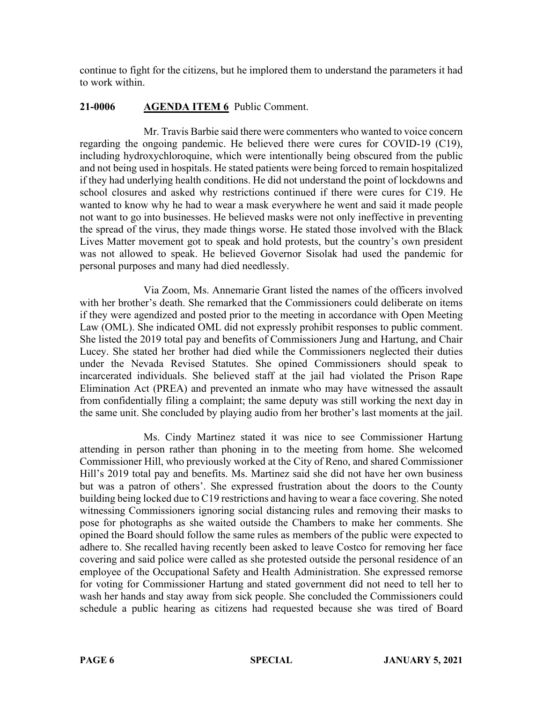continue to fight for the citizens, but he implored them to understand the parameters it had to work within.

# **21-0006 AGENDA ITEM 6** Public Comment.

Mr. Travis Barbie said there were commenters who wanted to voice concern regarding the ongoing pandemic. He believed there were cures for COVID-19 (C19), including hydroxychloroquine, which were intentionally being obscured from the public and not being used in hospitals. He stated patients were being forced to remain hospitalized if they had underlying health conditions. He did not understand the point of lockdowns and school closures and asked why restrictions continued if there were cures for C19. He wanted to know why he had to wear a mask everywhere he went and said it made people not want to go into businesses. He believed masks were not only ineffective in preventing the spread of the virus, they made things worse. He stated those involved with the Black Lives Matter movement got to speak and hold protests, but the country's own president was not allowed to speak. He believed Governor Sisolak had used the pandemic for personal purposes and many had died needlessly.

Via Zoom, Ms. Annemarie Grant listed the names of the officers involved with her brother's death. She remarked that the Commissioners could deliberate on items if they were agendized and posted prior to the meeting in accordance with Open Meeting Law (OML). She indicated OML did not expressly prohibit responses to public comment. She listed the 2019 total pay and benefits of Commissioners Jung and Hartung, and Chair Lucey. She stated her brother had died while the Commissioners neglected their duties under the Nevada Revised Statutes. She opined Commissioners should speak to incarcerated individuals. She believed staff at the jail had violated the Prison Rape Elimination Act (PREA) and prevented an inmate who may have witnessed the assault from confidentially filing a complaint; the same deputy was still working the next day in the same unit. She concluded by playing audio from her brother's last moments at the jail.

Ms. Cindy Martinez stated it was nice to see Commissioner Hartung attending in person rather than phoning in to the meeting from home. She welcomed Commissioner Hill, who previously worked at the City of Reno, and shared Commissioner Hill's 2019 total pay and benefits. Ms. Martinez said she did not have her own business but was a patron of others'. She expressed frustration about the doors to the County building being locked due to C19 restrictions and having to wear a face covering. She noted witnessing Commissioners ignoring social distancing rules and removing their masks to pose for photographs as she waited outside the Chambers to make her comments. She opined the Board should follow the same rules as members of the public were expected to adhere to. She recalled having recently been asked to leave Costco for removing her face covering and said police were called as she protested outside the personal residence of an employee of the Occupational Safety and Health Administration. She expressed remorse for voting for Commissioner Hartung and stated government did not need to tell her to wash her hands and stay away from sick people. She concluded the Commissioners could schedule a public hearing as citizens had requested because she was tired of Board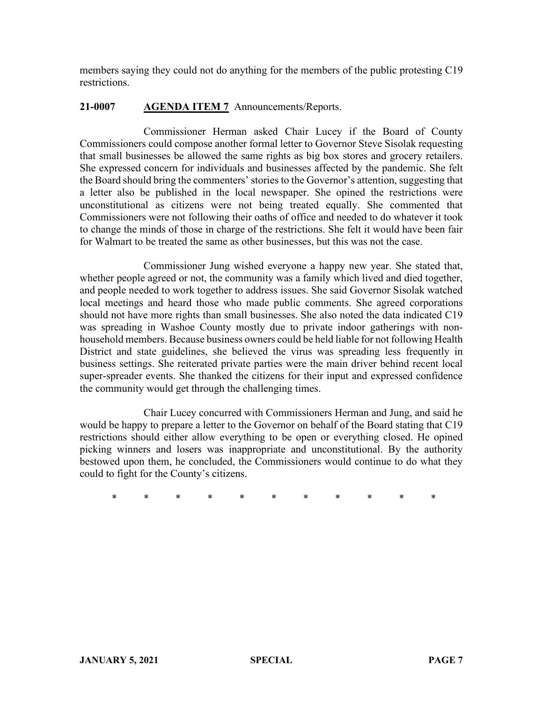members saying they could not do anything for the members of the public protesting C19 restrictions.

# **21-0007 AGENDA ITEM 7** Announcements/Reports.

Commissioner Herman asked Chair Lucey if the Board of County Commissioners could compose another formal letter to Governor Steve Sisolak requesting that small businesses be allowed the same rights as big box stores and grocery retailers. She expressed concern for individuals and businesses affected by the pandemic. She felt the Board should bring the commenters' stories to the Governor's attention, suggesting that a letter also be published in the local newspaper. She opined the restrictions were unconstitutional as citizens were not being treated equally. She commented that Commissioners were not following their oaths of office and needed to do whatever it took to change the minds of those in charge of the restrictions. She felt it would have been fair for Walmart to be treated the same as other businesses, but this was not the case.

Commissioner Jung wished everyone a happy new year. She stated that, whether people agreed or not, the community was a family which lived and died together, and people needed to work together to address issues. She said Governor Sisolak watched local meetings and heard those who made public comments. She agreed corporations should not have more rights than small businesses. She also noted the data indicated C19 was spreading in Washoe County mostly due to private indoor gatherings with nonhousehold members. Because business owners could be held liable for not following Health District and state guidelines, she believed the virus was spreading less frequently in business settings. She reiterated private parties were the main driver behind recent local super-spreader events. She thanked the citizens for their input and expressed confidence the community would get through the challenging times.

Chair Lucey concurred with Commissioners Herman and Jung, and said he would be happy to prepare a letter to the Governor on behalf of the Board stating that C19 restrictions should either allow everything to be open or everything closed. He opined picking winners and losers was inappropriate and unconstitutional. By the authority bestowed upon them, he concluded, the Commissioners would continue to do what they could to fight for the County's citizens.

\* \* \* \* \* \* \* \* \* \* \*